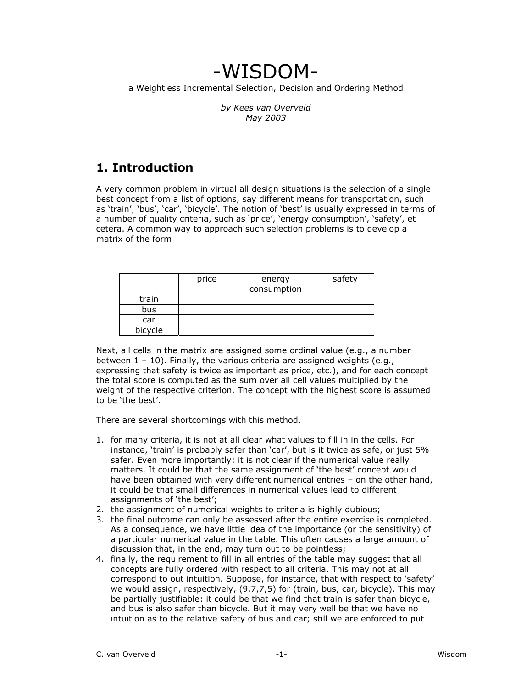# -WISDOM-

a Weightless Incremental Selection, Decision and Ordering Method

*by Kees van Overveld May 2003* 

# **1. Introduction**

A very common problem in virtual all design situations is the selection of a single best concept from a list of options, say different means for transportation, such as 'train', 'bus', 'car', 'bicycle'. The notion of 'best' is usually expressed in terms of a number of quality criteria, such as 'price', 'energy consumption', 'safety', et cetera. A common way to approach such selection problems is to develop a matrix of the form

|         | price | energy<br>consumption | safety |
|---------|-------|-----------------------|--------|
| train   |       |                       |        |
| bus     |       |                       |        |
| car     |       |                       |        |
| bicycle |       |                       |        |

Next, all cells in the matrix are assigned some ordinal value (e.g., a number between 1 – 10). Finally, the various criteria are assigned weights (e.g., expressing that safety is twice as important as price, etc.), and for each concept the total score is computed as the sum over all cell values multiplied by the weight of the respective criterion. The concept with the highest score is assumed to be 'the best'.

There are several shortcomings with this method.

- 1. for many criteria, it is not at all clear what values to fill in in the cells. For instance, 'train' is probably safer than 'car', but is it twice as safe, or just 5% safer. Even more importantly: it is not clear if the numerical value really matters. It could be that the same assignment of 'the best' concept would have been obtained with very different numerical entries – on the other hand, it could be that small differences in numerical values lead to different assignments of 'the best';
- 2. the assignment of numerical weights to criteria is highly dubious;
- 3. the final outcome can only be assessed after the entire exercise is completed. As a consequence, we have little idea of the importance (or the sensitivity) of a particular numerical value in the table. This often causes a large amount of discussion that, in the end, may turn out to be pointless;
- 4. finally, the requirement to fill in all entries of the table may suggest that all concepts are fully ordered with respect to all criteria. This may not at all correspond to out intuition. Suppose, for instance, that with respect to 'safety' we would assign, respectively, (9,7,7,5) for (train, bus, car, bicycle). This may be partially justifiable: it could be that we find that train is safer than bicycle, and bus is also safer than bicycle. But it may very well be that we have no intuition as to the relative safety of bus and car; still we are enforced to put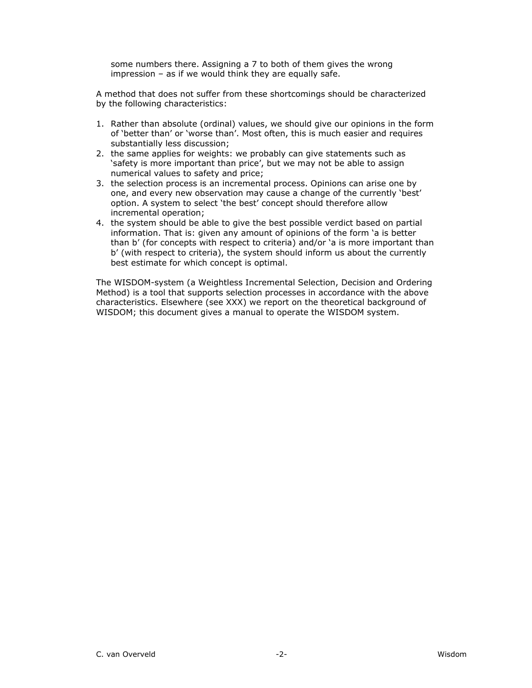some numbers there. Assigning a 7 to both of them gives the wrong impression – as if we would think they are equally safe.

A method that does not suffer from these shortcomings should be characterized by the following characteristics:

- 1. Rather than absolute (ordinal) values, we should give our opinions in the form of 'better than' or 'worse than'. Most often, this is much easier and requires substantially less discussion;
- 2. the same applies for weights: we probably can give statements such as 'safety is more important than price', but we may not be able to assign numerical values to safety and price;
- 3. the selection process is an incremental process. Opinions can arise one by one, and every new observation may cause a change of the currently 'best' option. A system to select 'the best' concept should therefore allow incremental operation;
- 4. the system should be able to give the best possible verdict based on partial information. That is: given any amount of opinions of the form 'a is better than b' (for concepts with respect to criteria) and/or 'a is more important than b' (with respect to criteria), the system should inform us about the currently best estimate for which concept is optimal.

The WISDOM-system (a Weightless Incremental Selection, Decision and Ordering Method) is a tool that supports selection processes in accordance with the above characteristics. Elsewhere (see XXX) we report on the theoretical background of WISDOM; this document gives a manual to operate the WISDOM system.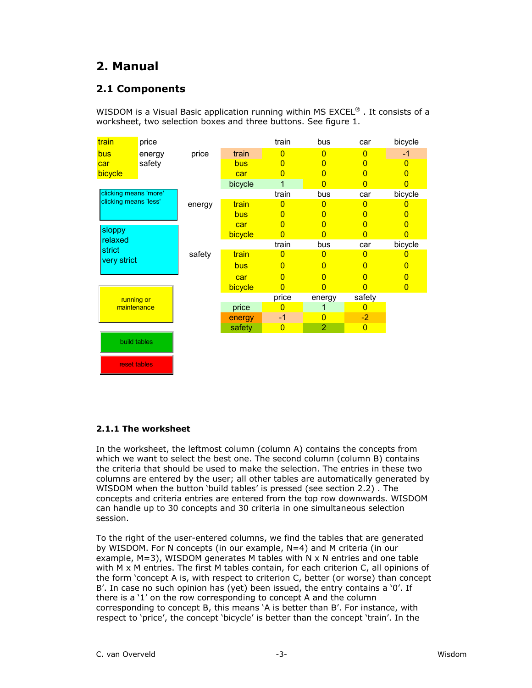# **2. Manual**

### **2.1 Components**

WISDOM is a Visual Basic application running within MS EXCEL®. It consists of a worksheet, two selection boxes and three buttons. See figure 1.

| train                     | price        |        |         | train          | bus            | car            | bicycle        |
|---------------------------|--------------|--------|---------|----------------|----------------|----------------|----------------|
| bus                       | energy       | price  | train   | $\overline{0}$ | $\overline{0}$ | $\overline{0}$ | $-1$           |
| car                       | safety       |        | bus     | $\overline{0}$ | 0              | 0              | $\overline{0}$ |
| bicycle                   |              |        | car     | $\overline{0}$ | $\Omega$       | $\overline{0}$ | 0              |
|                           |              |        | bicycle | 1              | $\Omega$       | 0              | 0              |
| clicking means 'more'     |              |        |         | train          | bus            | car            | bicycle        |
| clicking means 'less'     |              | energy | train   | $\overline{0}$ | 0              | $\overline{0}$ |                |
|                           |              |        | bus     | $\overline{0}$ | 0              | 0              | 0              |
|                           |              |        | car     | $\overline{0}$ | 0              | $\overline{0}$ | 0              |
| sloppy                    |              |        | bicycle | $\overline{0}$ | n              | O              | 0              |
| relaxed                   |              |        |         | train          | bus            | car            | bicycle        |
| strict<br>very strict     |              | safety | train   | $\Omega$       | 0              | $\overline{0}$ |                |
|                           |              |        | bus     | $\overline{0}$ | $\overline{0}$ | $\overline{0}$ | 0              |
|                           |              |        | car     | $\overline{0}$ | $\overline{0}$ | $\overline{0}$ | 0              |
|                           |              |        | bicycle | $\overline{0}$ | 0              | 0              | $\overline{0}$ |
| running or<br>maintenance |              |        |         | price          | energy         | safety         |                |
|                           |              |        | price   | 0              |                | $\Omega$       |                |
|                           |              |        | energy  | $-1$           | $\overline{0}$ | $-2$           |                |
|                           |              |        | safety  | $\overline{0}$ | $\overline{2}$ | $\overline{0}$ |                |
|                           | build tables |        |         |                |                |                |                |

#### **2.1.1 The worksheet**

reset tables

In the worksheet, the leftmost column (column A) contains the concepts from which we want to select the best one. The second column (column B) contains the criteria that should be used to make the selection. The entries in these two columns are entered by the user; all other tables are automatically generated by WISDOM when the button 'build tables' is pressed (see section 2.2) . The concepts and criteria entries are entered from the top row downwards. WISDOM can handle up to 30 concepts and 30 criteria in one simultaneous selection session.

To the right of the user-entered columns, we find the tables that are generated by WISDOM. For N concepts (in our example, N=4) and M criteria (in our example,  $M=3$ ), WISDOM generates M tables with N x N entries and one table with M x M entries. The first M tables contain, for each criterion C, all opinions of the form 'concept A is, with respect to criterion C, better (or worse) than concept B'. In case no such opinion has (yet) been issued, the entry contains a '0'. If there is a '1' on the row corresponding to concept A and the column corresponding to concept B, this means 'A is better than B'. For instance, with respect to 'price', the concept 'bicycle' is better than the concept 'train'. In the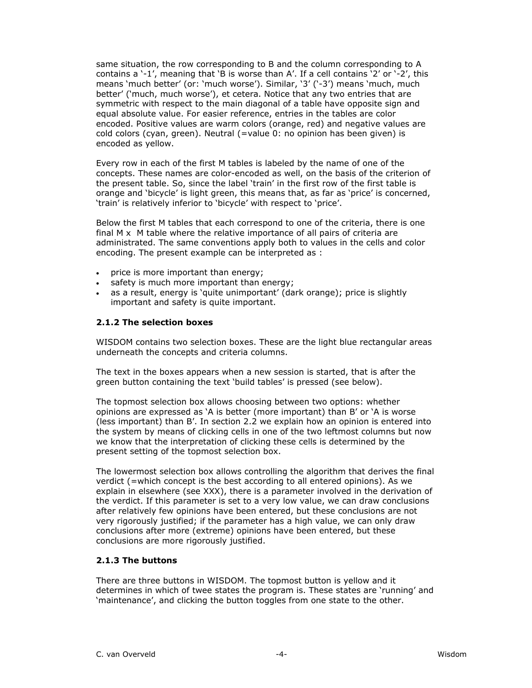same situation, the row corresponding to B and the column corresponding to A contains a '-1', meaning that 'B is worse than A'. If a cell contains '2' or '-2', this means 'much better' (or: 'much worse'). Similar, '3' ('-3') means 'much, much better' ('much, much worse'), et cetera. Notice that any two entries that are symmetric with respect to the main diagonal of a table have opposite sign and equal absolute value. For easier reference, entries in the tables are color encoded. Positive values are warm colors (orange, red) and negative values are cold colors (cyan, green). Neutral (=value 0: no opinion has been given) is encoded as yellow.

Every row in each of the first M tables is labeled by the name of one of the concepts. These names are color-encoded as well, on the basis of the criterion of the present table. So, since the label 'train' in the first row of the first table is orange and 'bicycle' is light green, this means that, as far as 'price' is concerned, 'train' is relatively inferior to 'bicycle' with respect to 'price'.

Below the first M tables that each correspond to one of the criteria, there is one final  $M \times M$  table where the relative importance of all pairs of criteria are administrated. The same conventions apply both to values in the cells and color encoding. The present example can be interpreted as :

- price is more important than energy;
- safety is much more important than energy;
- as a result, energy is 'quite unimportant' (dark orange); price is slightly important and safety is quite important.

#### **2.1.2 The selection boxes**

WISDOM contains two selection boxes. These are the light blue rectangular areas underneath the concepts and criteria columns.

The text in the boxes appears when a new session is started, that is after the green button containing the text 'build tables' is pressed (see below).

The topmost selection box allows choosing between two options: whether opinions are expressed as 'A is better (more important) than B' or 'A is worse (less important) than B'. In section 2.2 we explain how an opinion is entered into the system by means of clicking cells in one of the two leftmost columns but now we know that the interpretation of clicking these cells is determined by the present setting of the topmost selection box.

The lowermost selection box allows controlling the algorithm that derives the final verdict (=which concept is the best according to all entered opinions). As we explain in elsewhere (see XXX), there is a parameter involved in the derivation of the verdict. If this parameter is set to a very low value, we can draw conclusions after relatively few opinions have been entered, but these conclusions are not very rigorously justified; if the parameter has a high value, we can only draw conclusions after more (extreme) opinions have been entered, but these conclusions are more rigorously justified.

#### **2.1.3 The buttons**

There are three buttons in WISDOM. The topmost button is yellow and it determines in which of twee states the program is. These states are 'running' and 'maintenance', and clicking the button toggles from one state to the other.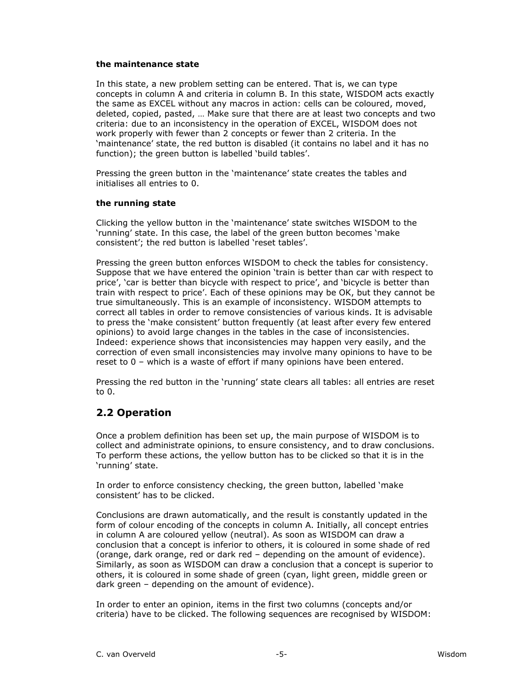#### **the maintenance state**

In this state, a new problem setting can be entered. That is, we can type concepts in column A and criteria in column B. In this state, WISDOM acts exactly the same as EXCEL without any macros in action: cells can be coloured, moved, deleted, copied, pasted, … Make sure that there are at least two concepts and two criteria: due to an inconsistency in the operation of EXCEL, WISDOM does not work properly with fewer than 2 concepts or fewer than 2 criteria. In the 'maintenance' state, the red button is disabled (it contains no label and it has no function); the green button is labelled 'build tables'.

Pressing the green button in the 'maintenance' state creates the tables and initialises all entries to 0.

#### **the running state**

Clicking the yellow button in the 'maintenance' state switches WISDOM to the 'running' state. In this case, the label of the green button becomes 'make consistent'; the red button is labelled 'reset tables'.

Pressing the green button enforces WISDOM to check the tables for consistency. Suppose that we have entered the opinion 'train is better than car with respect to price', 'car is better than bicycle with respect to price', and 'bicycle is better than train with respect to price'. Each of these opinions may be OK, but they cannot be true simultaneously. This is an example of inconsistency. WISDOM attempts to correct all tables in order to remove consistencies of various kinds. It is advisable to press the 'make consistent' button frequently (at least after every few entered opinions) to avoid large changes in the tables in the case of inconsistencies. Indeed: experience shows that inconsistencies may happen very easily, and the correction of even small inconsistencies may involve many opinions to have to be reset to 0 – which is a waste of effort if many opinions have been entered.

Pressing the red button in the 'running' state clears all tables: all entries are reset to 0.

### **2.2 Operation**

Once a problem definition has been set up, the main purpose of WISDOM is to collect and administrate opinions, to ensure consistency, and to draw conclusions. To perform these actions, the yellow button has to be clicked so that it is in the 'running' state.

In order to enforce consistency checking, the green button, labelled 'make consistent' has to be clicked.

Conclusions are drawn automatically, and the result is constantly updated in the form of colour encoding of the concepts in column A. Initially, all concept entries in column A are coloured yellow (neutral). As soon as WISDOM can draw a conclusion that a concept is inferior to others, it is coloured in some shade of red (orange, dark orange, red or dark red – depending on the amount of evidence). Similarly, as soon as WISDOM can draw a conclusion that a concept is superior to others, it is coloured in some shade of green (cyan, light green, middle green or dark green – depending on the amount of evidence).

In order to enter an opinion, items in the first two columns (concepts and/or criteria) have to be clicked. The following sequences are recognised by WISDOM: